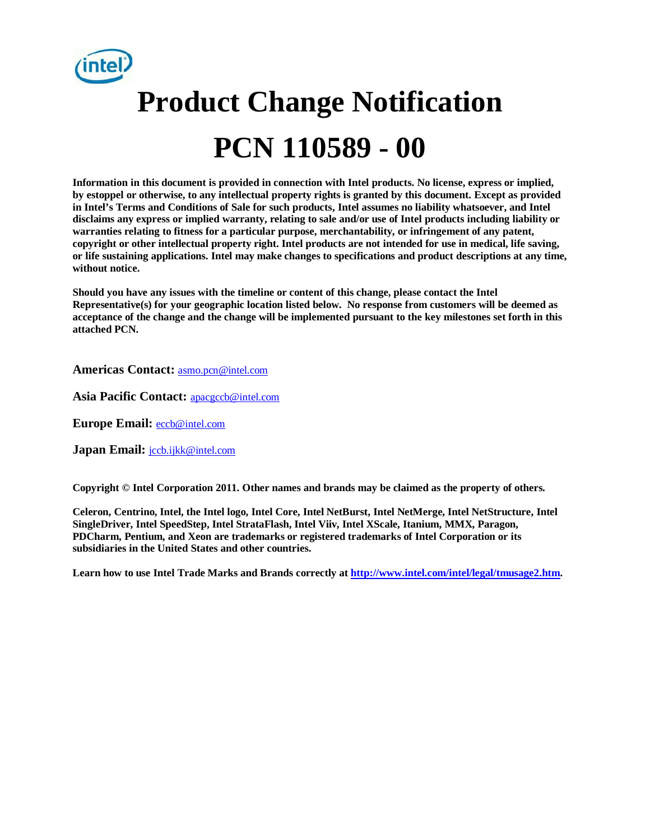

# **Product Change Notification PCN 110589 - 00**

**Information in this document is provided in connection with Intel products. No license, express or implied, by estoppel or otherwise, to any intellectual property rights is granted by this document. Except as provided in Intel's Terms and Conditions of Sale for such products, Intel assumes no liability whatsoever, and Intel disclaims any express or implied warranty, relating to sale and/or use of Intel products including liability or warranties relating to fitness for a particular purpose, merchantability, or infringement of any patent, copyright or other intellectual property right. Intel products are not intended for use in medical, life saving, or life sustaining applications. Intel may make changes to specifications and product descriptions at any time, without notice.**

**Should you have any issues with the timeline or content of this change, please contact the Intel Representative(s) for your geographic location listed below. No response from customers will be deemed as acceptance of the change and the change will be implemented pursuant to the key milestones set forth in this attached PCN.**

**Americas Contact:** [asmo.pcn@intel.com](mailto:asmo.pcn@intel.com) 

**Asia Pacific Contact:** [apacgccb@intel.com](mailto:apacgccb@intel.com) 

**Europe Email:** [eccb@intel.com](mailto:eccb@intel.com) 

**Japan Email:** [jccb.ijkk@intel.com](mailto:jccb.ijkk@intel.com) 

**Copyright © Intel Corporation 2011. Other names and brands may be claimed as the property of others.**

**Celeron, Centrino, Intel, the Intel logo, Intel Core, Intel NetBurst, Intel NetMerge, Intel NetStructure, Intel SingleDriver, Intel SpeedStep, Intel StrataFlash, Intel Viiv, Intel XScale, Itanium, MMX, Paragon, PDCharm, Pentium, and Xeon are trademarks or registered trademarks of Intel Corporation or its subsidiaries in the United States and other countries.**

**Learn how to use Intel Trade Marks and Brands correctly a[t http://www.intel.com/intel/legal/tmusage2.htm.](http://www.intel.com/intel/legal/tmusage2.htm)**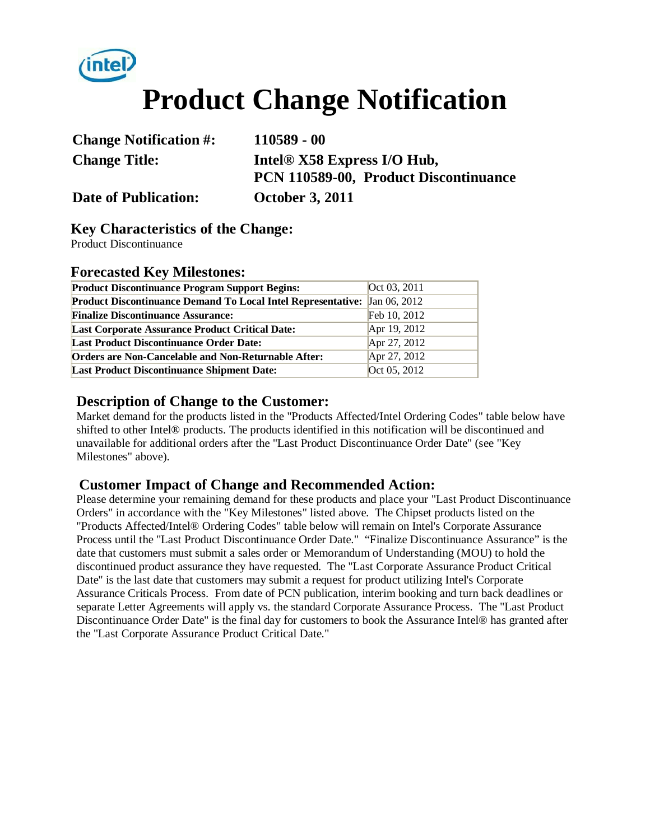# **Product Change Notification**

| <b>Change Notification #:</b> |  |
|-------------------------------|--|
| <b>Change Title:</b>          |  |

**Change Notification #: 110589 - 00 Change Title: Intel® X58 Express I/O Hub, PCN 110589-00, Product Discontinuance** 

**Date of Publication: October 3, 2011**

intel

#### **Key Characteristics of the Change:**

Product Discontinuance

#### **Forecasted Key Milestones:**

| <b>Product Discontinuance Program Support Begins:</b>                     | Oct 03, 2011 |
|---------------------------------------------------------------------------|--------------|
| Product Discontinuance Demand To Local Intel Representative: Jan 06, 2012 |              |
| <b>Finalize Discontinuance Assurance:</b>                                 | Feb 10, 2012 |
| <b>Last Corporate Assurance Product Critical Date:</b>                    | Apr 19, 2012 |
| <b>Last Product Discontinuance Order Date:</b>                            | Apr 27, 2012 |
| <b>Orders are Non-Cancelable and Non-Returnable After:</b>                | Apr 27, 2012 |
| <b>Last Product Discontinuance Shipment Date:</b>                         | Oct 05, 2012 |

#### **Description of Change to the Customer:**

Market demand for the products listed in the "Products Affected/Intel Ordering Codes" table below have shifted to other Intel® products. The products identified in this notification will be discontinued and unavailable for additional orders after the "Last Product Discontinuance Order Date" (see "Key Milestones" above).

#### **Customer Impact of Change and Recommended Action:**

Please determine your remaining demand for these products and place your "Last Product Discontinuance Orders" in accordance with the "Key Milestones" listed above. The Chipset products listed on the "Products Affected/Intel® Ordering Codes" table below will remain on Intel's Corporate Assurance Process until the "Last Product Discontinuance Order Date." "Finalize Discontinuance Assurance" is the date that customers must submit a sales order or Memorandum of Understanding (MOU) to hold the discontinued product assurance they have requested. The "Last Corporate Assurance Product Critical Date" is the last date that customers may submit a request for product utilizing Intel's Corporate Assurance Criticals Process. From date of PCN publication, interim booking and turn back deadlines or separate Letter Agreements will apply vs. the standard Corporate Assurance Process. The "Last Product Discontinuance Order Date" is the final day for customers to book the Assurance Intel® has granted after the "Last Corporate Assurance Product Critical Date."